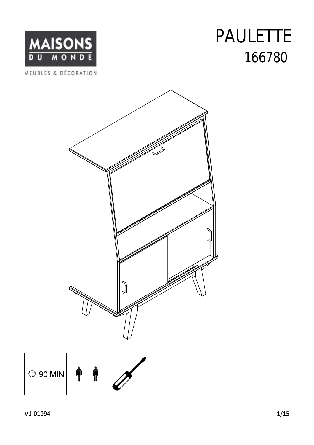## 166780 PAULETTE





| <b>① 90 MIN</b> |  |  |  |
|-----------------|--|--|--|
|-----------------|--|--|--|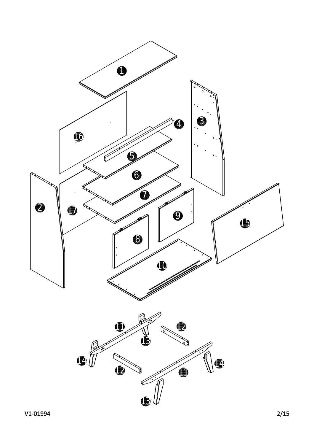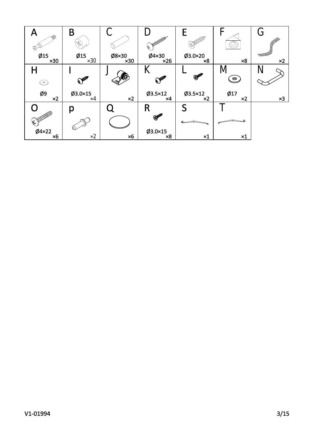| H<br>⋒<br>⊕         | B                    | U                    | <b>APPLE AND ADDRESS</b><br>⊌ | (SA) AND DODD A              |                   | G                                   |
|---------------------|----------------------|----------------------|-------------------------------|------------------------------|-------------------|-------------------------------------|
| Ø15<br>x30          | Ø15<br>$\times 30$   | Ø8×30<br>$\times 30$ | $Ø4\times30$<br>x26           | Ø3.0×20<br>$\times 8$        | $\times 8$        | <b>SERIES COMPANY</b><br>$\times 2$ |
| Ц<br>$\odot$        | CALLER               | 0                    | r<br>CALLER                   | $\mathcal{P}$                | M<br>$\bullet$    | N                                   |
| Ø9<br>$\times 2$    | $Ø3.0\times15$<br>×4 | $\times 2$           | $Ø3.5\times12$<br>×4          | $Ø3.5\times12$<br>$\times 2$ | Ø17<br>$\times 2$ | $\times 3$                          |
|                     | р                    |                      | R                             |                              |                   |                                     |
| <b>CALLER BOOM</b>  |                      |                      | <b>SHOPPER</b>                |                              |                   |                                     |
| Ø4×22<br>$\times 6$ | $\times 2$           | $\times 6$           | $Ø3.0\times15$<br>$\times 8$  | $\times 1$                   | $\times 1$        |                                     |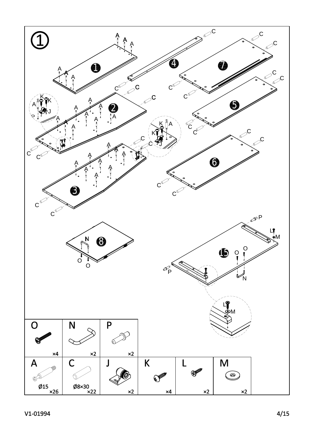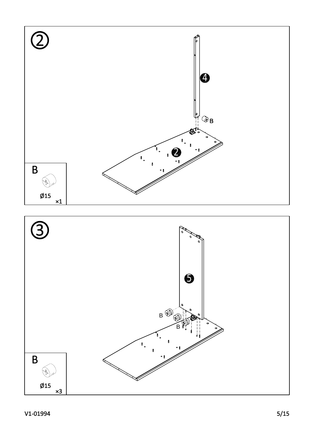



## V1-01994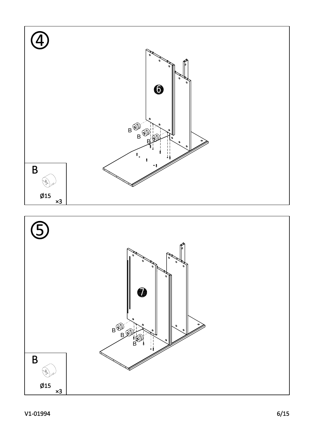



## V1-01994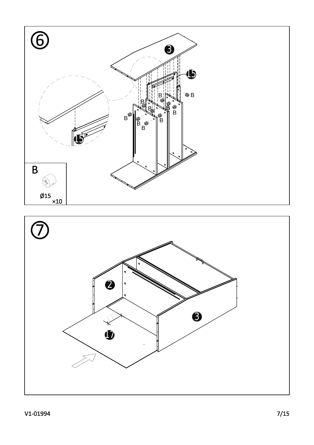

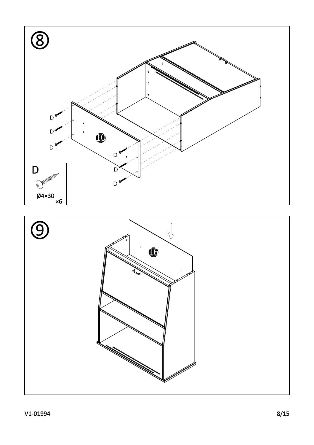

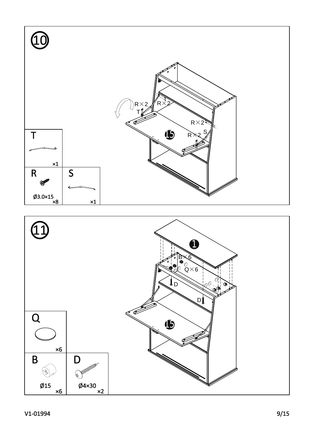T

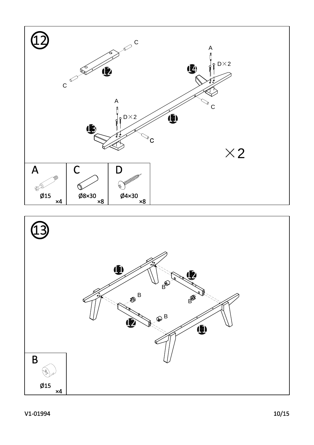

 $\mathsf{C}$ 

 $\bf \Phi$ 

A

♦  $\mathsf{C}$ 

A

¢

 $D\times 2$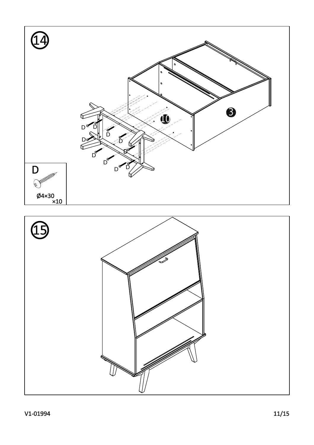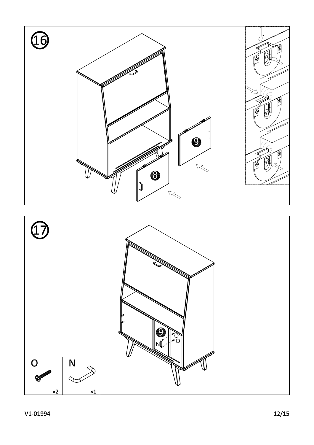

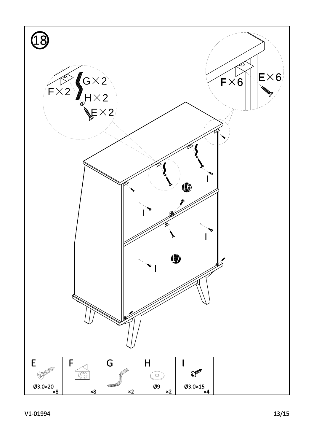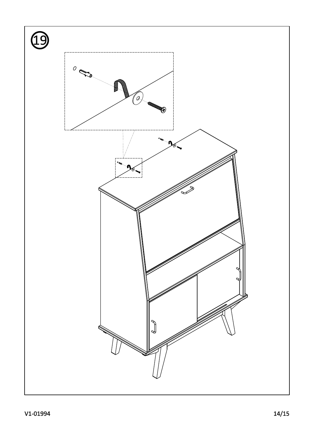